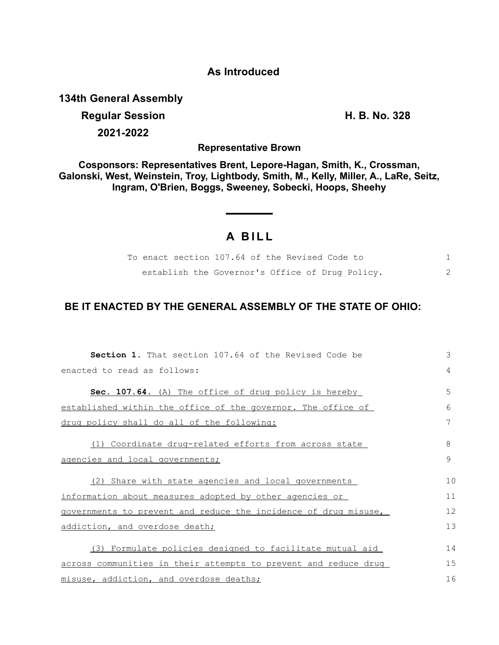## **As Introduced**

**134th General Assembly**

## **Regular Session H. B. No. 328 2021-2022**

**Representative Brown**

**Cosponsors: Representatives Brent, Lepore-Hagan, Smith, K., Crossman, Galonski, West, Weinstein, Troy, Lightbody, Smith, M., Kelly, Miller, A., LaRe, Seitz, Ingram, O'Brien, Boggs, Sweeney, Sobecki, Hoops, Sheehy**

## **A BILL**

| To enact section 107.64 of the Revised Code to  |  |  |  |  |  |
|-------------------------------------------------|--|--|--|--|--|
| establish the Governor's Office of Drug Policy. |  |  |  |  |  |

## **BE IT ENACTED BY THE GENERAL ASSEMBLY OF THE STATE OF OHIO:**

| <b>Section 1.</b> That section 107.64 of the Revised Code be    | 3  |  |  |  |  |  |
|-----------------------------------------------------------------|----|--|--|--|--|--|
| enacted to read as follows:                                     |    |  |  |  |  |  |
| Sec. 107.64. (A) The office of drug policy is hereby            | 5  |  |  |  |  |  |
| established within the office of the governor. The office of    | 6  |  |  |  |  |  |
| drug policy shall do all of the following:                      | 7  |  |  |  |  |  |
| (1) Coordinate drug-related efforts from across state           | 8  |  |  |  |  |  |
| agencies and local governments;                                 |    |  |  |  |  |  |
| (2) Share with state agencies and local governments             | 10 |  |  |  |  |  |
| information about measures adopted by other agencies or         |    |  |  |  |  |  |
| governments to prevent and reduce the incidence of drug misuse, |    |  |  |  |  |  |
| addiction, and overdose death;                                  |    |  |  |  |  |  |
| (3) Formulate policies designed to facilitate mutual aid        | 14 |  |  |  |  |  |
| across communities in their attempts to prevent and reduce drug |    |  |  |  |  |  |
| misuse, addiction, and overdose deaths;                         |    |  |  |  |  |  |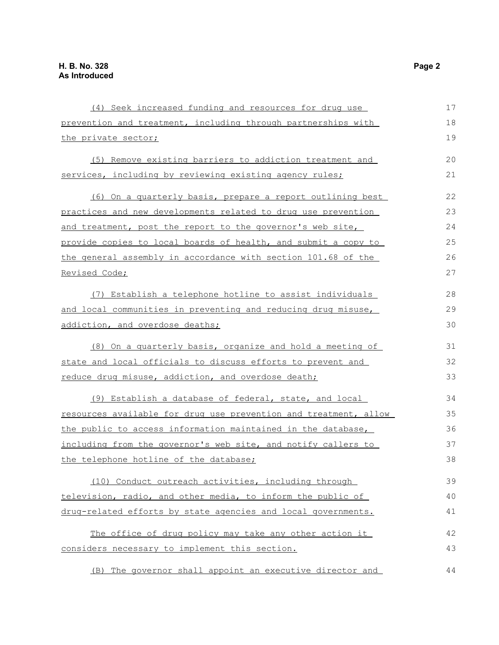| (4) Seek increased funding and resources for drug use            | 17 |
|------------------------------------------------------------------|----|
| prevention and treatment, including through partnerships with    | 18 |
| the private sector;                                              | 19 |
| (5) Remove existing barriers to addiction treatment and          | 20 |
| services, including by reviewing existing agency rules;          | 21 |
| (6) On a quarterly basis, prepare a report outlining best        | 22 |
| practices and new developments related to drug use prevention    | 23 |
| and treatment, post the report to the governor's web site,       | 24 |
| provide copies to local boards of health, and submit a copy to   | 25 |
| the general assembly in accordance with section 101.68 of the    | 26 |
| Revised Code;                                                    | 27 |
| (7) Establish a telephone hotline to assist individuals          | 28 |
| and local communities in preventing and reducing drug misuse,    | 29 |
| addiction, and overdose deaths;                                  | 30 |
| (8) On a quarterly basis, organize and hold a meeting of         | 31 |
| state and local officials to discuss efforts to prevent and      | 32 |
| reduce drug misuse, addiction, and overdose death;               | 33 |
| (9) Establish a database of federal, state, and local            | 34 |
| resources available for drug use prevention and treatment, allow | 35 |
| the public to access information maintained in the database,     | 36 |
| including from the governor's web site, and notify callers to    | 37 |
| the telephone hotline of the database;                           | 38 |
| (10) Conduct outreach activities, including through              | 39 |
| television, radio, and other media, to inform the public of      | 40 |
| drug-related efforts by state agencies and local governments.    | 41 |
| The office of drug policy may take any other action it           | 42 |
| considers necessary to implement this section.                   | 43 |
| (B) The governor shall appoint an executive director and         | 44 |